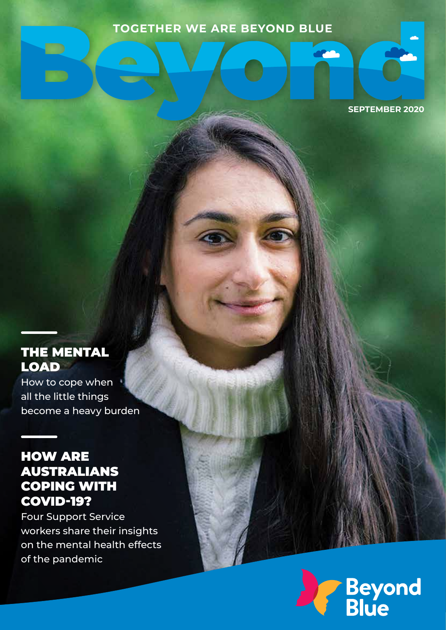#### **TOGETHER WE ARE BEYOND BLUE**

 $\overline{\phantom{a}}$ 

**SEPTEMBER 2020**

and .

### THE MENTAL LOAD

How to cope when all the little things become a heavy burden

#### HOW ARE AUSTRALIANS COPING WITH COVID-19?

Four Support Service workers share their insights on the mental health effects of the pandemic

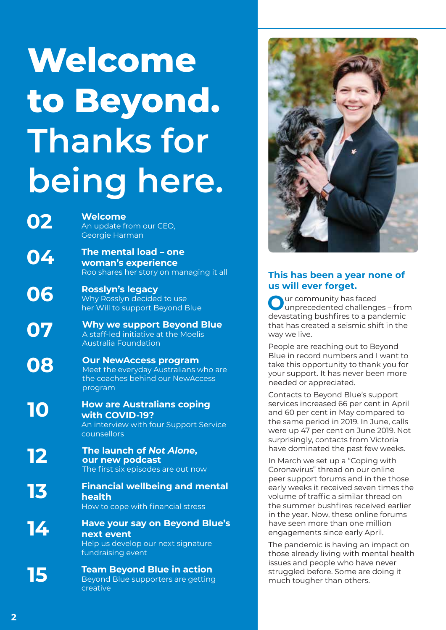# **Welcome to Beyond. Thanks for being here.**

**02 Welcome** An update from our CEO, Georgie Harman

- **04 The mental load one woman's experience**  Roo shares her story on managing it all
- **06** Rosslyn's legacy<br>
Why Rosslyn decided to use her Will to support Beyond Blue

**07** Why we support Beyond Blue<br>A staff-led initiative at the Moelis A staff-led initiative at the Moelis Australia Foundation

**08** Our NewAccess program Meet the everyday Australians who are the coaches behind our NewAccess program

**10 How are Australians coping with COVID-19?** An interview with four Support Service counsellors

**12** The launch of *Not Alone*, **our new podcast**  The first six episodes are out now

**13 Financial wellbeing and mental health**  How to cope with financial stress

- **14 Have your say on Beyond Blue's next event** Help us develop our next signature fundraising event
- **15 Team Beyond Blue in action** Beyond Blue supporters are getting creative



#### **This has been a year none of us will ever forget.**

**O**ur community has faced unprecedented challenges – from devastating bushfires to a pandemic that has created a seismic shift in the way we live.

People are reaching out to Beyond Blue in record numbers and I want to take this opportunity to thank you for your support. It has never been more needed or appreciated.

Contacts to Beyond Blue's support services increased 66 per cent in April and 60 per cent in May compared to the same period in 2019. In June, calls were up 47 per cent on June 2019. Not surprisingly, contacts from Victoria have dominated the past few weeks.

In March we set up a "Coping with Coronavirus" thread on our online peer support forums and in the those early weeks it received seven times the volume of traffic a similar thread on the summer bushfires received earlier in the year. Now, these online forums have seen more than one million engagements since early April.

The pandemic is having an impact on those already living with mental health issues and people who have never struggled before. Some are doing it much tougher than others.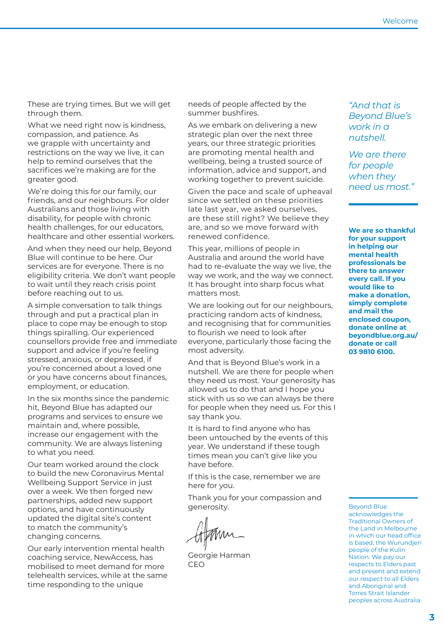These are trying times. But we will get through them.

What we need right now is kindness, compassion, and patience. As we grapple with uncertainty and restrictions on the way we live, it can help to remind ourselves that the sacrifices we're making are for the greater good.

We're doing this for our family, our friends, and our neighbours. For older Australians and those living with disability, for people with chronic health challenges, for our educators, healthcare and other essential workers.

And when they need our help, Beyond Blue will continue to be here. Our services are for everyone. There is no eligibility criteria. We don't want people to wait until they reach crisis point before reaching out to us.

A simple conversation to talk things through and put a practical plan in place to cope may be enough to stop things spiralling. Our experienced counsellors provide free and immediate support and advice if you're feeling stressed, anxious, or depressed, if you're concerned about a loved one or you have concerns about finances, employment, or education.

In the six months since the pandemic hit, Beyond Blue has adapted our programs and services to ensure we maintain and, where possible, increase our engagement with the community. We are always listening to what you need.

Our team worked around the clock to build the new Coronavirus Mental Wellbeing Support Service in just over a week. We then forged new partnerships, added new support options, and have continuously updated the digital site's content to match the community's changing concerns.

Our early intervention mental health coaching service, NewAccess, has mobilised to meet demand for more telehealth services, while at the same time responding to the unique

needs of people affected by the summer bushfires.

As we embark on delivering a new strategic plan over the next three years, our three strategic priorities are promoting mental health and wellbeing, being a trusted source of information, advice and support, and working together to prevent suicide.

Given the pace and scale of upheaval since we settled on these priorities late last year, we asked ourselves, are these still right? We believe they are, and so we move forward with renewed confidence.

This year, millions of people in Australia and around the world have had to re-evaluate the way we live, the way we work, and the way we connect. It has brought into sharp focus what matters most.

We are looking out for our neighbours, practicing random acts of kindness, and recognising that for communities to flourish we need to look after everyone, particularly those facing the most adversity.

And that is Beyond Blue's work in a nutshell. We are there for people when they need us most. Your generosity has allowed us to do that and I hope you stick with us so we can always be there for people when they need us. For this I say thank you.

It is hard to find anyone who has been untouched by the events of this year. We understand if these tough times mean you can't give like you have before.

If this is the case, remember we are here for you.

Thank you for your compassion and generosity.

Georgie Harman CEO

*"And that is Beyond Blue's work in a nutshell.* 

*We are there for people when they need us most."*

**We are so thankful for your support in helping our mental health professionals be there to answer every call. If you would like to make a donation, simply complete and mail the enclosed coupon, donate online at beyondblue.org.au/ donate or call 03 9810 6100.**

Beyond Blue acknowledges the Traditional Owners of the Land in Melbourne in which our head office is based, the Wurundjeri people of the Kulin Nation. We pay our respects to Elders past and present and extend our respect to all Elders and Aboriginal and Torres Strait Islander peoples across Australia.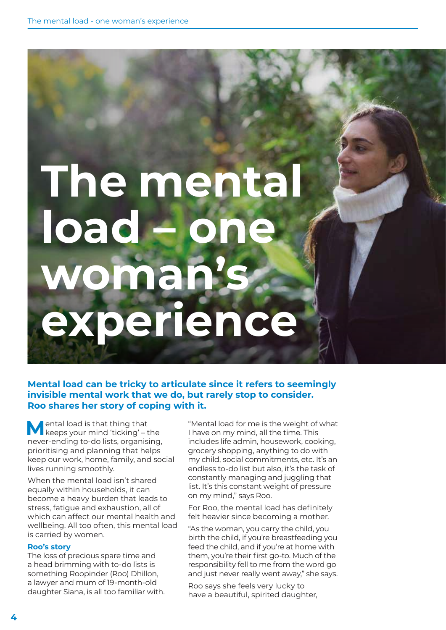# **The mental load** omar<sub>i</sub> **experience**

#### **Mental load can be tricky to articulate since it refers to seemingly invisible mental work that we do, but rarely stop to consider. Roo shares her story of coping with it.**

**M**ental load is that thing that keeps your mind 'ticking' – the never-ending to-do lists, organising, prioritising and planning that helps keep our work, home, family, and social lives running smoothly.

When the mental load isn't shared equally within households, it can become a heavy burden that leads to stress, fatigue and exhaustion, all of which can affect our mental health and wellbeing. All too often, this mental load is carried by women.

#### **Roo's story**

The loss of precious spare time and a head brimming with to-do lists is something Roopinder (Roo) Dhillon, a lawyer and mum of 19-month-old daughter Siana, is all too familiar with. "Mental load for me is the weight of what I have on my mind, all the time. This includes life admin, housework, cooking, grocery shopping, anything to do with my child, social commitments, etc. It's an endless to-do list but also, it's the task of constantly managing and juggling that list. It's this constant weight of pressure on my mind," says Roo.

For Roo, the mental load has definitely felt heavier since becoming a mother.

"As the woman, you carry the child, you birth the child, if you're breastfeeding you feed the child, and if you're at home with them, you're their first go-to. Much of the responsibility fell to me from the word go and just never really went away," she says.

Roo says she feels very lucky to have a beautiful, spirited daughter,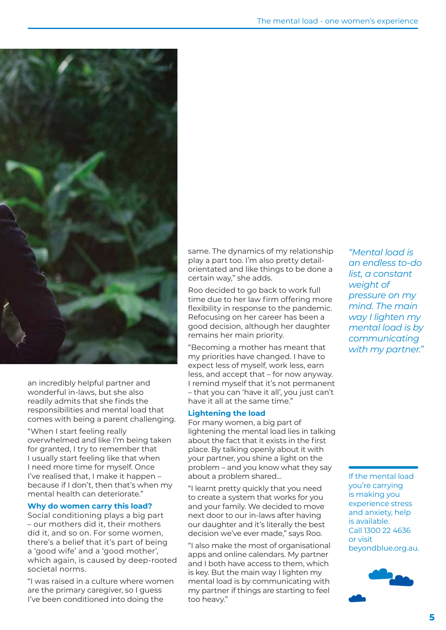

an incredibly helpful partner and wonderful in-laws, but she also readily admits that she finds the responsibilities and mental load that comes with being a parent challenging.

"When I start feeling really overwhelmed and like I'm being taken for granted, I try to remember that I usually start feeling like that when I need more time for myself. Once I've realised that, I make it happen – because if I don't, then that's when my mental health can deteriorate."

#### **Why do women carry this load?**

Social conditioning plays a big part – our mothers did it, their mothers did it, and so on. For some women, there's a belief that it's part of being a 'good wife' and a 'good mother', which again, is caused by deep-rooted societal norms.

"I was raised in a culture where women are the primary caregiver, so I guess I've been conditioned into doing the

same. The dynamics of my relationship play a part too. I'm also pretty detailorientated and like things to be done a certain way," she adds.

Roo decided to go back to work full time due to her law firm offering more flexibility in response to the pandemic. Refocusing on her career has been a good decision, although her daughter remains her main priority.

"Becoming a mother has meant that my priorities have changed. I have to expect less of myself, work less, earn less, and accept that – for now anyway. I remind myself that it's not permanent – that you can 'have it all', you just can't have it all at the same time."

#### **Lightening the load**

For many women, a big part of lightening the mental load lies in talking about the fact that it exists in the first place. By talking openly about it with your partner, you shine a light on the problem – and you know what they say about a problem shared…

"I learnt pretty quickly that you need to create a system that works for you and your family. We decided to move next door to our in-laws after having our daughter and it's literally the best decision we've ever made," says Roo.

"I also make the most of organisational apps and online calendars. My partner and I both have access to them, which is key. But the main way I lighten my mental load is by communicating with my partner if things are starting to feel too heavy."

*"Mental load is an endless to-do list, a constant weight of pressure on my mind. The main way I lighten my mental load is by communicating with my partner."* 

If the mental load you're carrying is making you experience stress and anxiety, help is available. Call 1300 22 4636 or visit beyondblue.org.au.

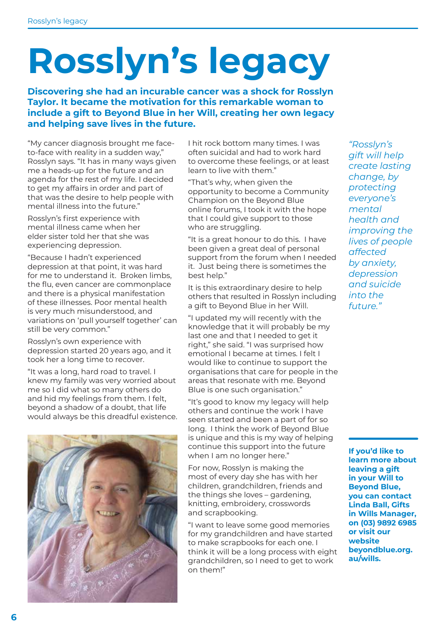# **Rosslyn's legacy**

**Discovering she had an incurable cancer was a shock for Rosslyn Taylor. It became the motivation for this remarkable woman to include a gift to Beyond Blue in her Will, creating her own legacy and helping save lives in the future.**

"My cancer diagnosis brought me faceto-face with reality in a sudden way," Rosslyn says. "It has in many ways given me a heads-up for the future and an agenda for the rest of my life. I decided to get my affairs in order and part of that was the desire to help people with mental illness into the future."

Rosslyn's first experience with mental illness came when her elder sister told her that she was experiencing depression.

"Because I hadn't experienced depression at that point, it was hard for me to understand it. Broken limbs, the flu, even cancer are commonplace and there is a physical manifestation of these illnesses. Poor mental health is very much misunderstood, and variations on 'pull yourself together' can still be very common."

Rosslyn's own experience with depression started 20 years ago, and it took her a long time to recover.

"It was a long, hard road to travel. I knew my family was very worried about me so I did what so many others do and hid my feelings from them. I felt, beyond a shadow of a doubt, that life would always be this dreadful existence.



I hit rock bottom many times. I was often suicidal and had to work hard to overcome these feelings, or at least learn to live with them."

"That's why, when given the opportunity to become a Community Champion on the Beyond Blue online forums, I took it with the hope that I could give support to those who are struggling.

"It is a great honour to do this. I have been given a great deal of personal support from the forum when I needed it. Just being there is sometimes the best help."

It is this extraordinary desire to help others that resulted in Rosslyn including a gift to Beyond Blue in her Will.

"I updated my will recently with the knowledge that it will probably be my last one and that I needed to get it right," she said. "I was surprised how emotional I became at times. I felt I would like to continue to support the organisations that care for people in the areas that resonate with me. Beyond Blue is one such organisation."

"It's good to know my legacy will help others and continue the work I have seen started and been a part of for so long. I think the work of Beyond Blue is unique and this is my way of helping continue this support into the future when I am no longer here."

For now, Rosslyn is making the most of every day she has with her children, grandchildren, friends and the things she loves – gardening, knitting, embroidery, crosswords and scrapbooking.

"I want to leave some good memories for my grandchildren and have started to make scrapbooks for each one. I think it will be a long process with eight grandchildren, so I need to get to work on them!"

*"Rosslyn's gift will help create lasting change, by protecting everyone's mental health and improving the lives of people affected by anxiety, depression and suicide into the future."*

**If you'd like to learn more about leaving a gift in your Will to Beyond Blue, you can contact Linda Ball, Gifts in Wills Manager, on (03) 9892 6985 or visit our website beyondblue.org. au/wills.**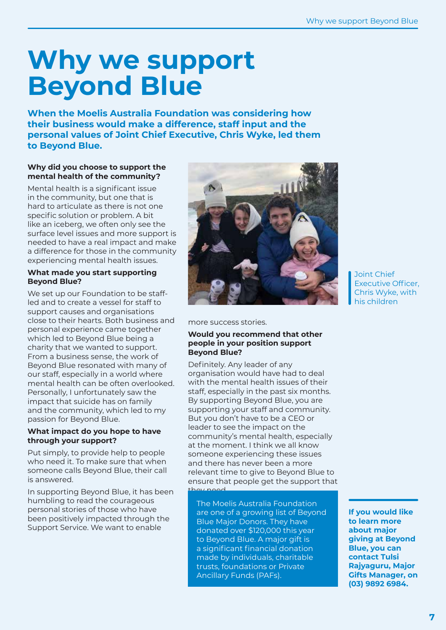### **Why we support Beyond Blue**

**When the Moelis Australia Foundation was considering how their business would make a difference, staff input and the personal values of Joint Chief Executive, Chris Wyke, led them to Beyond Blue.** 

#### **Why did you choose to support the mental health of the community?**

Mental health is a significant issue in the community, but one that is hard to articulate as there is not one specific solution or problem. A bit like an iceberg, we often only see the surface level issues and more support is needed to have a real impact and make a difference for those in the community experiencing mental health issues.

#### **What made you start supporting Beyond Blue?**

We set up our Foundation to be staffled and to create a vessel for staff to support causes and organisations close to their hearts. Both business and personal experience came together which led to Beyond Blue being a charity that we wanted to support. From a business sense, the work of Beyond Blue resonated with many of our staff, especially in a world where mental health can be often overlooked. Personally, I unfortunately saw the impact that suicide has on family and the community, which led to my passion for Beyond Blue.

#### **What impact do you hope to have through your support?**

Put simply, to provide help to people who need it. To make sure that when someone calls Beyond Blue, their call is answered.

In supporting Beyond Blue, it has been humbling to read the courageous personal stories of those who have been positively impacted through the Support Service. We want to enable



Joint Chief Executive Officer, Chris Wyke, with his children

more success stories.

#### **Would you recommend that other people in your position support Beyond Blue?**

Definitely. Any leader of any organisation would have had to deal with the mental health issues of their staff, especially in the past six months. By supporting Beyond Blue, you are supporting your staff and community. But you don't have to be a CEO or leader to see the impact on the community's mental health, especially at the moment. I think we all know someone experiencing these issues and there has never been a more relevant time to give to Beyond Blue to ensure that people get the support that they need.

The Moelis Australia Foundation are one of a growing list of Beyond Blue Major Donors. They have donated over \$120,000 this year to Beyond Blue. A major gift is a significant financial donation made by individuals, charitable trusts, foundations or Private Ancillary Funds (PAFs).

**If you would like to learn more about major giving at Beyond Blue, you can contact Tulsi Rajyaguru, Major Gifts Manager, on (03) 9892 6984.**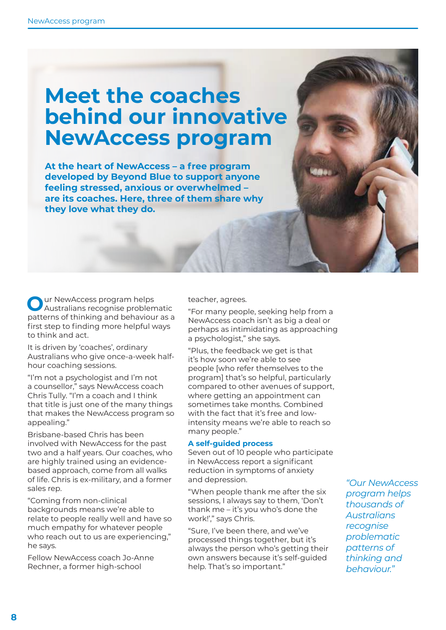### **Meet the coaches behind our innovative NewAccess program**

**At the heart of NewAccess – a free program developed by Beyond Blue to support anyone feeling stressed, anxious or overwhelmed – are its coaches. Here, three of them share why they love what they do.**

**O**ur NewAccess program helps Australians recognise problematic patterns of thinking and behaviour as a first step to finding more helpful ways to think and act.

It is driven by 'coaches', ordinary Australians who give once-a-week halfhour coaching sessions.

"I'm not a psychologist and I'm not a counsellor," says NewAccess coach Chris Tully. "I'm a coach and I think that title is just one of the many things that makes the NewAccess program so appealing."

Brisbane-based Chris has been involved with NewAccess for the past two and a half years. Our coaches, who are highly trained using an evidencebased approach, come from all walks of life. Chris is ex-military, and a former sales rep.

"Coming from non-clinical backgrounds means we're able to relate to people really well and have so much empathy for whatever people who reach out to us are experiencing," he says.

Fellow NewAccess coach Jo-Anne Rechner, a former high-school

teacher, agrees.

"For many people, seeking help from a NewAccess coach isn't as big a deal or perhaps as intimidating as approaching a psychologist," she says.

"Plus, the feedback we get is that it's how soon we're able to see people [who refer themselves to the program] that's so helpful, particularly compared to other avenues of support, where getting an appointment can sometimes take months. Combined with the fact that it's free and lowintensity means we're able to reach so many people."

#### **A self-guided process**

Seven out of 10 people who participate in NewAccess report a significant reduction in symptoms of anxiety and depression.

"When people thank me after the six sessions, I always say to them, 'Don't thank me – it's you who's done the work!'," says Chris.

"Sure, I've been there, and we've processed things together, but it's always the person who's getting their own answers because it's self-guided help. That's so important."

*"Our NewAccess program helps thousands of Australians recognise problematic patterns of thinking and behaviour."*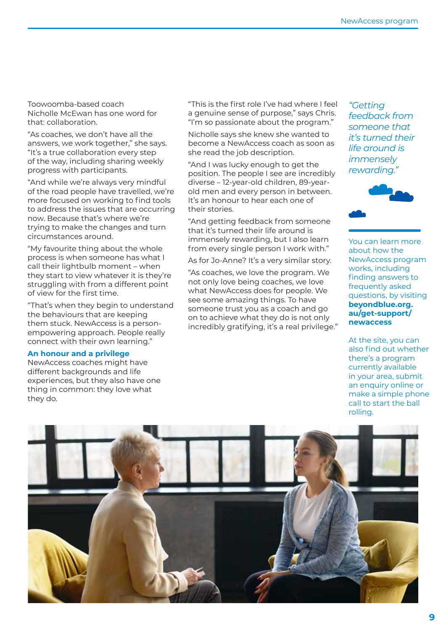Toowoomba-based coach Nicholle McEwan has one word for that: collaboration.

"As coaches, we don't have all the answers, we work together," she says. "It's a true collaboration every step of the way, including sharing weekly progress with participants.

"And while we're always very mindful of the road people have travelled, we're more focused on working to find tools to address the issues that are occurring now. Because that's where we're trying to make the changes and turn circumstances around.

"My favourite thing about the whole process is when someone has what I call their lightbulb moment – when they start to view whatever it is they're struggling with from a different point of view for the first time.

"That's when they begin to understand the behaviours that are keeping them stuck. NewAccess is a personempowering approach. People really connect with their own learning."

#### **An honour and a privilege**

NewAccess coaches might have different backgrounds and life experiences, but they also have one thing in common: they love what they do.

"This is the first role I've had where I feel a genuine sense of purpose," says Chris. "I'm so passionate about the program."

Nicholle says she knew she wanted to become a NewAccess coach as soon as she read the job description.

"And I was lucky enough to get the position. The people I see are incredibly diverse – 12-year-old children, 89-yearold men and every person in between. It's an honour to hear each one of their stories.

"And getting feedback from someone that it's turned their life around is immensely rewarding, but I also learn from every single person I work with."

As for Jo-Anne? It's a very similar story.

"As coaches, we love the program. We not only love being coaches, we love what NewAccess does for people. We see some amazing things. To have someone trust you as a coach and go on to achieve what they do is not only incredibly gratifying, it's a real privilege."

*"Getting feedback from someone that it's turned their life around is immensely rewarding."*



You can learn more about how the NewAccess program works, including finding answers to frequently asked questions, by visiting **beyondblue.org. au/get-support/ newaccess**

At the site, you can also find out whether there's a program currently available in your area, submit an enquiry online or make a simple phone call to start the ball rolling.

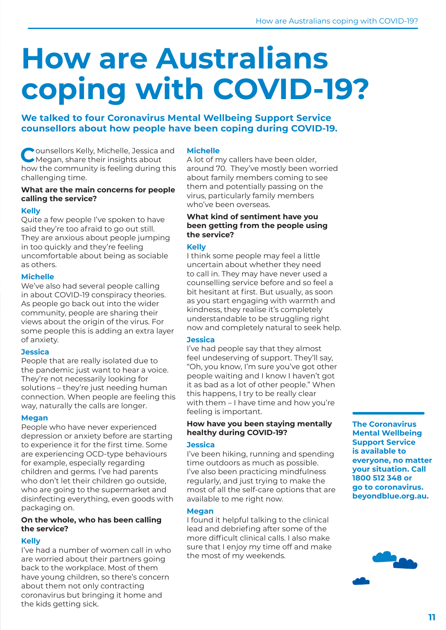## **How are Australians coping with COVID-19?**

**We talked to four Coronavirus Mental Wellbeing Support Service counsellors about how people have been coping during COVID-19.** 

**C**ounsellors Kelly, Michelle, Jessica and Megan, share their insights about how the community is feeling during this challenging time.

#### **What are the main concerns for people calling the service?**

#### **Kelly**

Quite a few people I've spoken to have said they're too afraid to go out still. They are anxious about people jumping in too quickly and they're feeling uncomfortable about being as sociable as others.

#### **Michelle**

We've also had several people calling in about COVID-19 conspiracy theories. As people go back out into the wider community, people are sharing their views about the origin of the virus. For some people this is adding an extra layer of anxiety.

#### **Jessica**

People that are really isolated due to the pandemic just want to hear a voice. They're not necessarily looking for solutions – they're just needing human connection. When people are feeling this way, naturally the calls are longer.

#### **Megan**

People who have never experienced depression or anxiety before are starting to experience it for the first time. Some are experiencing OCD-type behaviours for example, especially regarding children and germs. I've had parents who don't let their children go outside. who are going to the supermarket and disinfecting everything, even goods with packaging on.

#### **On the whole, who has been calling the service?**

#### **Kelly**

I've had a number of women call in who are worried about their partners going back to the workplace. Most of them have young children, so there's concern about them not only contracting coronavirus but bringing it home and the kids getting sick.

#### **Michelle**

A lot of my callers have been older, around 70. They've mostly been worried about family members coming to see them and potentially passing on the virus, particularly family members who've been overseas.

#### **What kind of sentiment have you been getting from the people using the service?**

#### **Kelly**

I think some people may feel a little uncertain about whether they need to call in. They may have never used a counselling service before and so feel a bit hesitant at first. But usually, as soon as you start engaging with warmth and kindness, they realise it's completely understandable to be struggling right now and completely natural to seek help.

#### **Jessica**

I've had people say that they almost feel undeserving of support. They'll say, "Oh, you know, I'm sure you've got other people waiting and I know I haven't got it as bad as a lot of other people." When this happens, I try to be really clear with them – I have time and how you're feeling is important.

#### **How have you been staying mentally healthy during COVID-19?**

#### **Jessica**

I've been hiking, running and spending time outdoors as much as possible. I've also been practicing mindfulness regularly, and just trying to make the most of all the self-care options that are available to me right now.

#### **Megan**

I found it helpful talking to the clinical lead and debriefing after some of the more difficult clinical calls. I also make sure that I enjoy my time off and make the most of my weekends.

**The Coronavirus Mental Wellbeing Support Service is available to everyone, no matter your situation. Call 1800 512 348 or go to coronavirus. beyondblue.org.au.**

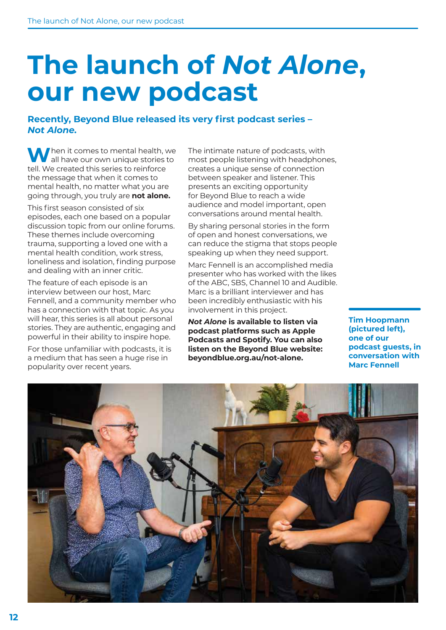### **The launch of** *Not Alone***, our new podcast**

#### **Recently, Beyond Blue released its very first podcast series –**  *Not Alone.*

**W**hen it comes to mental health, we all have our own unique stories to tell. We created this series to reinforce the message that when it comes to mental health, no matter what you are going through, you truly are **not alone.**

This first season consisted of six episodes, each one based on a popular discussion topic from our online forums. These themes include overcoming trauma, supporting a loved one with a mental health condition, work stress, loneliness and isolation, finding purpose and dealing with an inner critic.

The feature of each episode is an interview between our host, Marc Fennell, and a community member who has a connection with that topic. As you will hear, this series is all about personal stories. They are authentic, engaging and powerful in their ability to inspire hope.

For those unfamiliar with podcasts, it is a medium that has seen a huge rise in popularity over recent years.

The intimate nature of podcasts, with most people listening with headphones, creates a unique sense of connection between speaker and listener. This presents an exciting opportunity for Beyond Blue to reach a wide audience and model important, open conversations around mental health.

By sharing personal stories in the form of open and honest conversations, we can reduce the stigma that stops people speaking up when they need support.

Marc Fennell is an accomplished media presenter who has worked with the likes of the ABC, SBS, Channel 10 and Audible. Marc is a brilliant interviewer and has been incredibly enthusiastic with his involvement in this project.

*Not Alone* **is available to listen via podcast platforms such as Apple Podcasts and Spotify. You can also listen on the Beyond Blue website: beyondblue.org.au/not-alone.**

**Tim Hoopmann (pictured left), one of our podcast guests, in conversation with Marc Fennell**

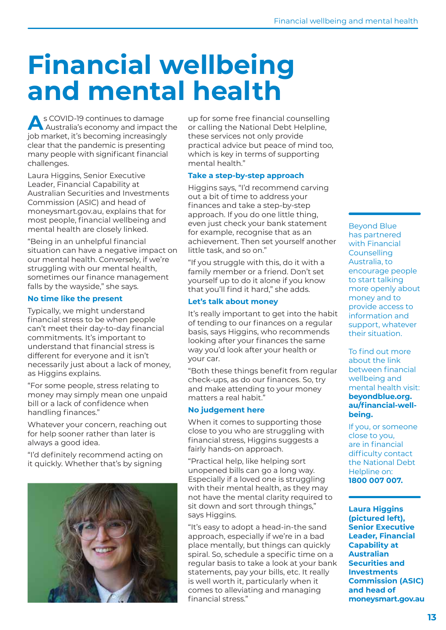## **Financial wellbeing and mental health**

**A**s COVID-19 continues to damage Australia's economy and impact the job market, it's becoming increasingly clear that the pandemic is presenting many people with significant financial challenges.

Laura Higgins, Senior Executive Leader, Financial Capability at Australian Securities and Investments Commission (ASIC) and head of moneysmart.gov.au, explains that for most people, financial wellbeing and mental health are closely linked.

"Being in an unhelpful financial situation can have a negative impact on our mental health. Conversely, if we're struggling with our mental health, sometimes our finance management falls by the wayside," she says.

#### **No time like the present**

Typically, we might understand financial stress to be when people can't meet their day-to-day financial commitments. It's important to understand that financial stress is different for everyone and it isn't necessarily just about a lack of money, as Higgins explains.

"For some people, stress relating to money may simply mean one unpaid bill or a lack of confidence when handling finances."

Whatever your concern, reaching out for help sooner rather than later is always a good idea.

"I'd definitely recommend acting on it quickly. Whether that's by signing



up for some free financial counselling or calling the National Debt Helpline, these services not only provide practical advice but peace of mind too, which is key in terms of supporting mental health."

#### **Take a step-by-step approach**

Higgins says, "I'd recommend carving out a bit of time to address your finances and take a step-by-step approach. If you do one little thing, even just check your bank statement for example, recognise that as an achievement. Then set yourself another little task, and so on."

"If you struggle with this, do it with a family member or a friend. Don't set yourself up to do it alone if you know that you'll find it hard," she adds.

#### **Let's talk about money**

It's really important to get into the habit of tending to our finances on a regular basis, says Higgins, who recommends looking after your finances the same way you'd look after your health or your car.

"Both these things benefit from regular check-ups, as do our finances. So, try and make attending to your money matters a real habit."

#### **No judgement here**

When it comes to supporting those close to you who are struggling with financial stress, Higgins suggests a fairly hands-on approach.

"Practical help, like helping sort unopened bills can go a long way. Especially if a loved one is struggling with their mental health, as they may not have the mental clarity required to sit down and sort through things," says Higgins.

"It's easy to adopt a head-in-the sand approach, especially if we're in a bad place mentally, but things can quickly spiral. So, schedule a specific time on a regular basis to take a look at your bank statements, pay your bills, etc. It really is well worth it, particularly when it comes to alleviating and managing financial stress."

Beyond Blue has partnered with Financial Counselling Australia, to encourage people to start talking more openly about money and to provide access to information and support, whatever their situation.

To find out more about the link between financial wellbeing and mental health visit: **beyondblue.org. au/financial-wellbeing.**

If you, or someone close to you, are in financial difficulty contact the National Debt Helpline on: **1800 007 007.**

**Laura Higgins (pictured left), Senior Executive Leader, Financial Capability at Australian Securities and Investments Commission (ASIC) and head of moneysmart.gov.au**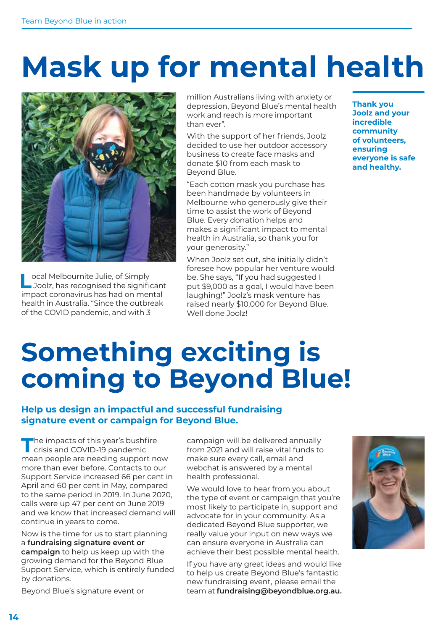## **Mask up for mental health**



**L**ocal Melbournite Julie, of Simply Joolz, has recognised the significant impact coronavirus has had on mental health in Australia. "Since the outbreak of the COVID pandemic, and with 3

million Australians living with anxiety or depression, Beyond Blue's mental health work and reach is more important than ever".

With the support of her friends, Joolz decided to use her outdoor accessory business to create face masks and donate \$10 from each mask to Beyond Blue.

"Each cotton mask you purchase has been handmade by volunteers in Melbourne who generously give their time to assist the work of Beyond Blue. Every donation helps and makes a significant impact to mental health in Australia, so thank you for your generosity."

When Joolz set out, she initially didn't foresee how popular her venture would be. She says, "If you had suggested I put \$9,000 as a goal, I would have been laughing!" Joolz's mask venture has raised nearly \$10,000 for Beyond Blue. Well done Joolz!

**Thank you Joolz and your incredible community of volunteers, ensuring everyone is safe and healthy.**

## **Something exciting is coming to Beyond Blue!**

#### **Help us design an impactful and successful fundraising signature event or campaign for Beyond Blue.**

The impacts of this year's bushfire<br>
crisis and COVID-19 pandemic mean people are needing support now more than ever before. Contacts to our Support Service increased 66 per cent in April and 60 per cent in May, compared to the same period in 2019. In June 2020, calls were up 47 per cent on June 2019 and we know that increased demand will continue in years to come.

Now is the time for us to start planning a **fundraising signature event or campaign** to help us keep up with the growing demand for the Beyond Blue Support Service, which is entirely funded by donations.

Beyond Blue's signature event or

campaign will be delivered annually from 2021 and will raise vital funds to make sure every call, email and webchat is answered by a mental health professional.

We would love to hear from you about the type of event or campaign that you're most likely to participate in, support and advocate for in your community. As a dedicated Beyond Blue supporter, we really value your input on new ways we can ensure everyone in Australia can achieve their best possible mental health.

If you have any great ideas and would like to help us create Beyond Blue's fantastic new fundraising event, please email the team at **fundraising@beyondblue.org.au.**

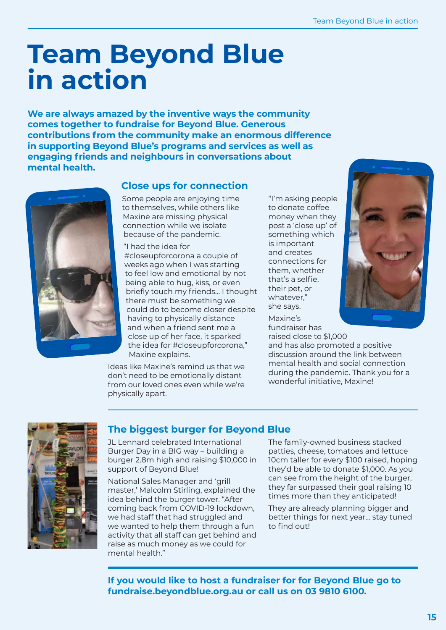### **Team Beyond Blue in action**

**We are always amazed by the inventive ways the community comes together to fundraise for Beyond Blue. Generous contributions from the community make an enormous difference in supporting Beyond Blue's programs and services as well as engaging friends and neighbours in conversations about mental health.** 



#### **Close ups for connection**

Some people are enjoying time to themselves, while others like Maxine are missing physical connection while we isolate because of the pandemic.

"I had the idea for #closeupforcorona a couple of weeks ago when I was starting to feel low and emotional by not being able to hug, kiss, or even briefly touch my friends… I thought there must be something we could do to become closer despite having to physically distance and when a friend sent me a close up of her face, it sparked the idea for #closeupforcorona," Maxine explains.

Ideas like Maxine's remind us that we don't need to be emotionally distant from our loved ones even while we're physically apart.

"I'm asking people to donate coffee money when they post a 'close up' of something which is important and creates connections for them, whether that's a selfie, their pet, or whatever," she says.

Maxine's fundraiser has raised close to \$1,000



and has also promoted a positive discussion around the link between mental health and social connection during the pandemic. Thank you for a wonderful initiative, Maxine!



#### **The biggest burger for Beyond Blue**

JL Lennard celebrated International Burger Day in a BIG way – building a burger 2.8m high and raising \$10,000 in support of Beyond Blue!

National Sales Manager and 'grill master,' Malcolm Stirling, explained the idea behind the burger tower. "After coming back from COVID-19 lockdown, we had staff that had struggled and we wanted to help them through a fun activity that all staff can get behind and raise as much money as we could for mental health."

The family-owned business stacked patties, cheese, tomatoes and lettuce 10cm taller for every \$100 raised, hoping they'd be able to donate \$1,000. As you can see from the height of the burger, they far surpassed their goal raising 10 times more than they anticipated!

They are already planning bigger and better things for next year… stay tuned to find out!

**If you would like to host a fundraiser for for Beyond Blue go to fundraise.beyondblue.org.au or call us on 03 9810 6100.**